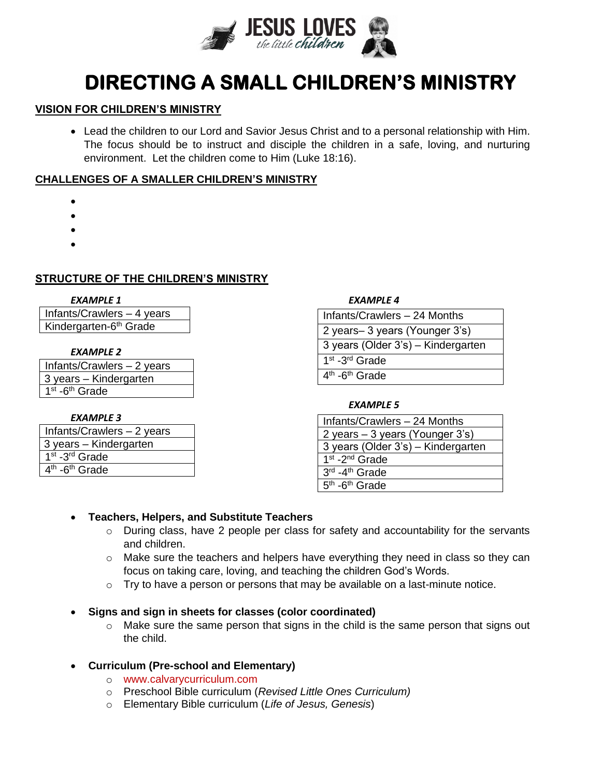

# **DIRECTING A SMALL CHILDREN'S MINISTRY**

#### **VISION FOR CHILDREN'S MINISTRY**

• Lead the children to our Lord and Savior Jesus Christ and to a personal relationship with Him. The focus should be to instruct and disciple the children in a safe, loving, and nurturing environment. Let the children come to Him (Luke 18:16).

#### **CHALLENGES OF A SMALLER CHILDREN'S MINISTRY**

- •
- •
- •
- •

# **STRUCTURE OF THE CHILDREN'S MINISTRY**

Infants/Crawlers – 4 years Kindergarten-6<sup>th</sup> Grade

#### *EXAMPLE 2*

Infants/Crawlers – 2 years 3 years – Kindergarten 1<sup>st</sup> -6<sup>th</sup> Grade

#### *EXAMPLE 3*

| Infants/Crawlers - 2 years                          |
|-----------------------------------------------------|
| 3 years - Kindergarten                              |
| $\overline{1}$ <sup>st</sup> -3 <sup>rd</sup> Grade |
| 4 <sup>th</sup> -6 <sup>th</sup> Grade              |

#### *EXAMPLE 1 EXAMPLE 4*

| Infants/Crawlers - 24 Months           |
|----------------------------------------|
| 2 years – 3 years (Younger 3's)        |
| 3 years (Older 3's) - Kindergarten     |
| 1 <sup>st</sup> -3 <sup>rd</sup> Grade |
| $4th$ -6 <sup>th</sup> Grade           |

#### *EXAMPLE 5*

| Infants/Crawlers - 24 Months       |
|------------------------------------|
| 2 years - 3 years (Younger 3's)    |
| 3 years (Older 3's) - Kindergarten |
| $1st - 2nd$ Grade                  |
| $3rd$ -4 <sup>th</sup> Grade       |
| $5th$ -6 <sup>th</sup> Grade       |

## • **Teachers, Helpers, and Substitute Teachers**

- $\circ$  During class, have 2 people per class for safety and accountability for the servants and children.
- $\circ$  Make sure the teachers and helpers have everything they need in class so they can focus on taking care, loving, and teaching the children God's Words.
- $\circ$  Try to have a person or persons that may be available on a last-minute notice.

## • **Signs and sign in sheets for classes (color coordinated)**

o Make sure the same person that signs in the child is the same person that signs out the child.

## • **Curriculum (Pre-school and Elementary)**

- o www.calvarycurriculum.com
- o Preschool Bible curriculum (*Revised Little Ones Curriculum)*
- o Elementary Bible curriculum (*Life of Jesus, Genesis*)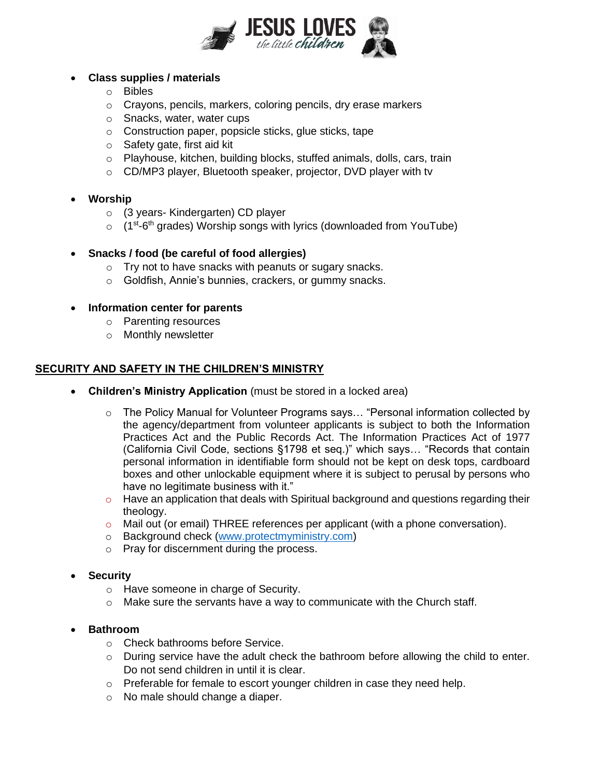

# • **Class supplies / materials**

- o Bibles
- o Crayons, pencils, markers, coloring pencils, dry erase markers
- o Snacks, water, water cups
- o Construction paper, popsicle sticks, glue sticks, tape
- o Safety gate, first aid kit
- o Playhouse, kitchen, building blocks, stuffed animals, dolls, cars, train
- o CD/MP3 player, Bluetooth speaker, projector, DVD player with tv
- **Worship**
	- o (3 years- Kindergarten) CD player
	- (1<sup>st</sup>-6<sup>th</sup> grades) Worship songs with lyrics (downloaded from YouTube)

## • **Snacks / food (be careful of food allergies)**

- o Try not to have snacks with peanuts or sugary snacks.
- o Goldfish, Annie's bunnies, crackers, or gummy snacks.

#### • **Information center for parents**

- o Parenting resources
- o Monthly newsletter

## **SECURITY AND SAFETY IN THE CHILDREN'S MINISTRY**

- **Children's Ministry Application** (must be stored in a locked area)
	- $\circ$  The Policy Manual for Volunteer Programs says... "Personal information collected by the agency/department from volunteer applicants is subject to both the Information Practices Act and the Public Records Act. The Information Practices Act of 1977 (California Civil Code, sections §1798 et seq.)" which says… "Records that contain personal information in identifiable form should not be kept on desk tops, cardboard boxes and other unlockable equipment where it is subject to perusal by persons who have no legitimate business with it."
	- $\circ$  Have an application that deals with Spiritual background and questions regarding their theology.
	- o Mail out (or email) THREE references per applicant (with a phone conversation).
	- o Background check [\(www.protectmyministry.com\)](http://www.protectmyministry.com/)
	- o Pray for discernment during the process.
- **Security**
	- o Have someone in charge of Security.
	- $\circ$  Make sure the servants have a way to communicate with the Church staff.
- **Bathroom**
	- o Check bathrooms before Service.
	- $\circ$  During service have the adult check the bathroom before allowing the child to enter. Do not send children in until it is clear.
	- o Preferable for female to escort younger children in case they need help.
	- o No male should change a diaper.